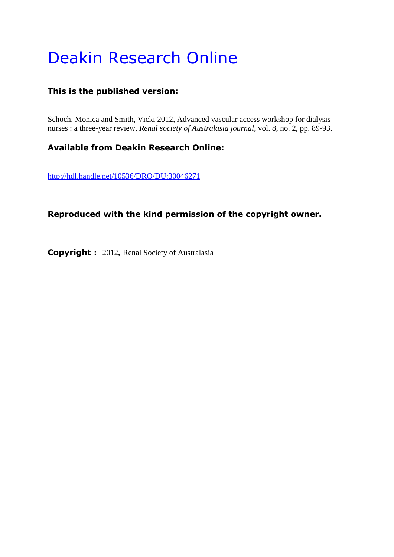# Deakin Research Online

## **This is the published version:**

Schoch, Monica and Smith, Vicki 2012, Advanced vascular access workshop for dialysis nurses : a three-year review*, Renal society of Australasia journal*, vol. 8, no. 2, pp. 89-93.

## **Available from Deakin Research Online:**

<http://hdl.handle.net/10536/DRO/DU:30046271>

## **Reproduced with the kind permission of the copyright owner.**

**Copyright :** 2012**,** Renal Society of Australasia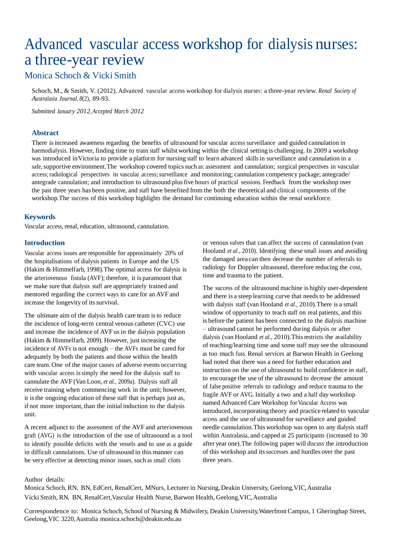## Advanced vascular access workshop for dialysis nurses: a three-year review

## Monica Schoch & Vicki Smith

Schoch, M., & Smith, V. (2012). Advanced vascular access workshop for dialysis nurses: a three-year review. *Renal Society of Australasia Journal, 8*(2), 89-93.

*Submitted January 2012,Accepted March 2012*

#### **Abstract**

There isincreased awareness regarding the benefits of ultrasound for vascular access surveillance and guided cannulation in haemodialysis. However, finding time to train staff whilst working within the clinical setting is challenging. In 2009 a workshop was introduced inVictoria to provide a platform for nursing staff to learn advanced skillsin surveillance and cannulation in a safe, supportive environment. The workshop covered topics such as: assessment and cannulation; surgical perspectives in vascular access; radiological perspectives in vascular access; surveillance and monitoring; cannulation competency package; antegrade/ antegrade cannulation; and introduction to ultrasound plusfive hours of practical sessions. Feedback from the workshop over the past three years has been positive, and staff have benefited from the both the theoretical and clinical components of the workshop.The success of this workshop highlights the demand for continuing education within the renal workforce.

#### **Keywords**

Vascular access, renal, education, ultrasound, cannulation.

#### **Introduction**

Vascular access issues are responsible for approximately 20% of the hospitalisations of dialysis patients in Europe and the US (Hakim & Himmelfarb, 1998).The optimal access for dialysis is the arteriovenous fistula (AVF); therefore, it is paramount that we make sure that dialysis staff are appropriately trained and mentored regarding the correct ways to care for an AVF and increase the longevity of its survival.

The ultimate aim of the dialysis health care team is to reduce the incidence of long-term central venous catheter (CVC) use and increase the incidence of AVF us in the dialysis population (Hakim & Himmelfarb, 2009). However, just increasing the incidence of AVFs is not enough – the AVFs must be cared for adequately by both the patients and those within the health care team. One of the major causes of adverse events occurring with vascular access is simply the need for the dialysis staff to cannulate the AVF (Van Loon, *et al.,* 2009a). Dialysis staff all receive training when commencing work in the unit; however, it isthe ongoing education of these staff that is perhaps just as, if not more important, than the initial induction to the dialysis unit.

A recent adjunct to the assessment of the AVF and arteriovenous graft (AVG) is the introduction of the use of ultrasound as a tool to identify possible deficits with the vessels and to use as a guide in difficult cannulations. Use of ultrasound in this manner can be very effective at detecting minor issues, such as small clots

or venous valves that can affect the success of cannulation (van Hooland *et al.,* 2010). Identifying these small issues and avoiding the damaged area can then decrease the number of referrals to radiology for Doppler ultrasound, therefore reducing the cost, time and trauma to the patient.

The success of the ultrasound machine is highly user-dependent and there is a steep learning curve that needs to be addressed with dialysis staff (van Hooland *et al.,* 2010).There is a small window of opportunity to teach staff on real patients, and this is before the patient has been connected to the dialysis machine – ultrasound cannot be performed during dialysis or after dialysis (van Hooland *et al.,* 2010).Thisrestricts the availability of teaching/learning time and some staff may see the ultrasound as too much fuss. Renal services at Barwon Health in Geelong had noted that there was a need for further education and instruction on the use of ultrasound to build confidence in staff, to encourage the use of the ultrasound to decrease the amount of false positive referrals to radiology and reduce trauma to the fragile AVF or AVG. Initially a two and a half day workshop named Advanced Care Workshop forVascular Access was introduced, incorporating theory and practice related to vascular access and the use of ultrasound for surveillance and guided needle cannulation.This workshop was open to any dialysis staff within Australasia, and capped at 25 participants (increased to 30 after year one).The following paper will discuss the introduction of this workshop and itssuccesses and hurdles over the past three years.

Author details:

Monica Schoch, RN, BN, EdCert, RenalCert, MNurs, Lecturer in Nursing, Deakin University, Geelong,VIC,Australia Vicki Smith, RN, BN, RenalCert,Vascular Health Nurse, Barwon Health, Geelong,VIC,Australia

Correspondence to: Monica Schoch, School of Nursing & Midwifery, Deakin University,Waterfront Campus, 1 Gheringhap Street, Geelong,VIC 3220,Australia [monica.schoch@deakin.edu.au](mailto:monica.schoch@deakin.edu.au)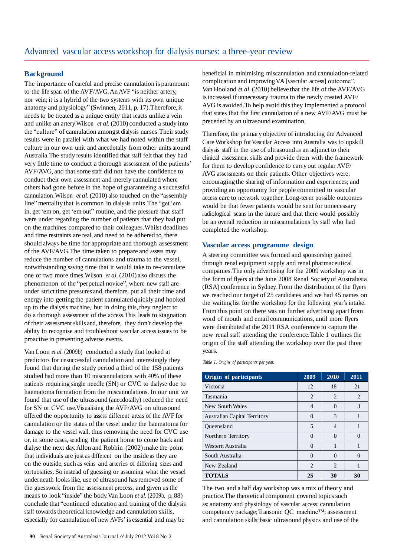#### **Background**

The importance of careful and precise cannulation is paramount to the life span of the AVF/AVG.An AVF "is neither artery, nor vein; it is a hybrid of the two systems with its own unique anatomy and physiology" (Swinnen, 2011, p. 17).Therefore, it needs to be treated as a unique entity that reacts unlike a vein and unlike an artery.Wilson *et al.*(2010) conducted a study into the "culture" of cannulation amongst dialysis nurses. Their study results were in parallel with what we had noted within the staff culture in our own unit and anecdotally from other units around Australia.The study results identified that staff felt that they had very little time to conduct a thorough assessment of the patients' AVF/AVG, and that some staff did not have the confidence to conduct their own assessment and merely cannulated where others had gone before in the hope of guaranteeing a successful cannulation.Wilson *et al.* (2010) also touched on the "assembly line" mentality that is common in dialysis units.The "get 'em in, get 'em on, get 'em out" routine, and the pressure that staff were under regarding the number of patients that they had put on the machines compared to their colleagues.Whilst deadlines and time restraints are real, and need to be adhered to, there should always be time for appropriate and thorough assessment of the AVF/AVG.The time taken to prepare and assess may reduce the number of cannulations and trauma to the vessel, notwithstanding saving time that it would take to re-cannulate one or two more times.Wilson *et al.*(2010) also discuss the phenomenon of the "perpetual novice", where new staff are under strict time pressures and, therefore, put all their time and energy into getting the patient cannulated quickly and hooked up to the dialysis machine, but in doing this, they neglect to do a thorough assessment of the access.This leads to stagnation of their assessment skills and, therefore, they don't develop the ability to recognise and troubleshoot vascular access issues to be proactive in preventing adverse events.

Van Loon *et al.* (2009b) conducted a study that looked at predictors for unsuccessful cannulation and interestingly they found that during the study period a third of the 158 patients studied had more than 10 miscannulations with 40% of these patients requiring single needle (SN) or CVC to dialyse due to haematoma formation from the miscannulations. In our unit we found that use of the ultrasound (anecdotally) reduced the need for SN or CVC use.Visualising the AVF/AVG on ultrasound offered the opportunity to assess different areas of the AVF for cannulation or the status of the vessel under the haematoma for damage to the vessel wall, thus removing the need for CVC use or, in some cases, sending the patient home to come back and dialyse the next day.Allon and Robbin (2002) make the point that individuals are just as different on the inside as they are on the outside, such as veins and arteries of differing sizes and tortuosities. So instead of guessing or assuming what the vessel underneath looks like, use of ultrasound has removed some of the guesswork from the assessment process, and given us the means to look "inside" the body.Van Loon *et al.* (2009b, p. 88) conclude that "continued education and training of the dialysis staff towards theoretical knowledge and cannulation skills, especially for cannulation of new AVFs' is essential and may be

beneficial in minimising miscannulation and cannulation-related complication and improvingVA [vascular access] outcome". Van Hooland *et al.*(2010) believe that the life of the AVF/AVG is increased if unnecessary trauma to the newly created AVF/ AVG is avoided.To help avoid this they implemented a protocol that states that the first cannulation of a new AVF/AVG must be preceded by an ultrasound examination.

Therefore, the primary objective of introducing the Advanced CareWorkshop forVascular Access into Australia was to upskill dialysis staff in the use of ultrasound as an adjunct to their clinical assessment skills and provide them with the framework for them to develop confidence to carry out regular AVF/ AVG assessments on their patients. Other objectives were: encouraging the sharing of information and experiences; and providing an opportunity for people committed to vascular access care to network together. Long-term possible outcomes would be that fewer patients would be sent for unnecessary radiological scans in the future and that there would possibly be an overall reduction in miscannulations by staff who had completed the workshop.

#### **Vascular access programme design**

A steering committee was formed and sponsorship gained through renal equipment supply and renal pharmaceutical companies.The only advertising for the 2009 workshop was in the form of flyers at the June 2008 Renal Society of Australasia (RSA) conference in Sydney. From the distribution of the flyers we reached our target of 25 candidates and we had 45 names on the waiting list for the workshop for the following year's intake. From this point on there was no further advertising apart from word of mouth and email communications, until more flyers were distributed at the 2011 RSA conference to capture the new renal staff attending the conference.Table 1 outlines the origin of the staff attending the workshop over the past three years.

*Table 1. Origin of participants per year.*

| Origin of participants              | 2009     | $20\overline{10}$ | 2011         |
|-------------------------------------|----------|-------------------|--------------|
| Victoria                            | 12       | 18                | 21           |
| Tasmania                            | 2        | 2                 | 2            |
| New South Wales                     | 4        | $\Omega$          | 3            |
| <b>Australian Capital Territory</b> |          | 3                 |              |
| Oueensland                          | 5        | 4                 |              |
| Northern Territory                  | $\Omega$ | 0                 | 0            |
| Western Australia                   | $\theta$ |                   |              |
| South Australia                     | $\left($ | 0                 | $\mathbf{0}$ |
| New Zealand                         | 2        | 2                 |              |
| <b>TOTALS</b>                       | 25       | 30                | 30           |

The two and a half day workshop was a mix of theory and practice. The theoretical component covered topics such as: anatomy and physiology of vascular access; cannulation competency package;Transonic QC machine™; assessment and cannulation skills; basic ultrasound physics and use of the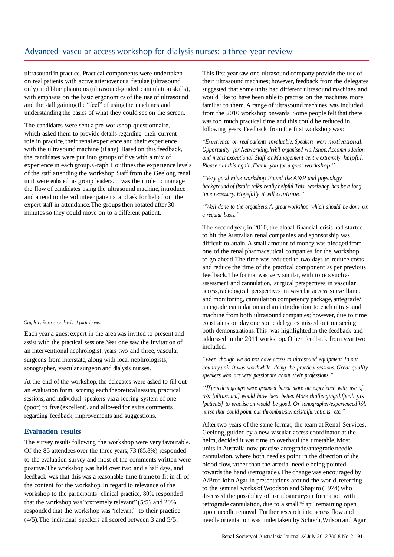### Advanced vascular access workshop for dialysis nurses: a three-year review

ultrasound in practice. Practical components were undertaken on real patients with active arteriovenous fistulae (ultrasound only) and blue phantoms(ultrasound-guided cannulation skills), with emphasis on the basic ergonomics of the use of ultrasound and the staff gaining the "feel" of using the machines and understanding the basics of what they could see on the screen.

The candidates were sent a pre-workshop questionnaire, which asked them to provide details regarding their current role in practice, their renal experience and their experience with the ultrasound machine (if any). Based on this feedback, the candidates were put into groups of five with a mix of experience in each group. Graph 1 outlines the experience levels of the staff attending the workshop. Staff from the Geelong renal unit were enlisted as group leaders. It was their role to manage the flow of candidates using the ultrasound machine, introduce and attend to the volunteer patients, and ask for help from the expert staff in attendance. The groups then rotated after 30 minutes so they could move on to a different patient.

#### *Graph 1. Experience levels of participants.*

Each year a guest expert in the area was invited to present and assist with the practical sessions.Year one saw the invitation of an interventional nephrologist, years two and three, vascular surgeons from interstate, along with local nephrologists, sonographer, vascular surgeon and dialysis nurses.

At the end of the workshop, the delegates were asked to fill out an evaluation form, scoring each theoretical session, practical sessions, and individual speakers via a scoring system of one (poor) to five (excellent), and allowed for extra comments regarding feedback, improvements and suggestions.

#### **Evaluation results**

The survey results following the workshop were very favourable. Of the 85 attendees over the three years, 73 (85.8%) responded to the evaluation survey and most of the comments written were positive.The workshop was held over two and a half days, and feedback was that this was a reasonable time frame to fit in all of the content for the workshop.In regard to relevance of the workshop to the participants' clinical practice, 80% responded that the workshop was "extremely relevant" (5/5) and 20% responded that the workshop was "relevant" to their practice (4/5).The individual speakers all scored between 3 and 5/5.

This first year saw one ultrasound company provide the use of their ultrasound machines; however, feedback from the delegates suggested that some units had different ultrasound machines and would like to have been able to practise on the machines more familiar to them.A range of ultrasound machines was included from the 2010 workshop onwards. Some people felt that there was too much practical time and this could be reduced in following years. Feedback from the first workshop was:

*"Experience on real patients invaluable. Speakers were motivational. Opportunity for Networking.Well organised workshop.Accommodation and meals exceptional. Staff at Management centre extremely helpful. Please run this again.Thank you for a great workshop."*

*"Very good value workshop. Found the A&P and physiology background of fistula talks really helpful.This workshop has be a long time necessary. Hopefully it will continue."*

*"Well done to the organisers.A great workshop which should be done on a regular basis."*

The second year, in 2010, the global financial crisis had started to hit the Australian renal companies and sponsorship was difficult to attain.A small amount of money was pledged from one of the renal pharmaceutical companies for the workshop to go ahead.The time was reduced to two days to reduce costs and reduce the time of the practical component as per previous feedback. The format was very similar, with topics such as assessment and cannulation, surgical perspectives in vascular access, radiological perspectives in vascular access, surveillance and monitoring, cannulation competency package, antegrade/ antegrade cannulation and an introduction to each ultrasound machine from both ultrasound companies; however, due to time constraints on day one some delegates missed out on seeing both demonstrations.This was highlighted in the feedback and addressed in the 2011 workshop. Other feedback from year two included:

*"Even though we do not have access to ultrasound equipment in our country unit it was worthwhile doing the practical sessions. Great quality speakers who are very passionate about their professions."*

*"If practical groups were grouped based more on experience with use of u/s [ultrasound] would have been better. More challenging/difficult pts [patients] to practise on would be good. Or sonographer/experienced VA nurse that could point out thrombus/stenosis/bifurcations etc."*

After two years of the same format, the team at Renal Services, Geelong, guided by a new vascular access coordinator at the helm, decided it was time to overhaul the timetable. Most units in Australia now practise antegrade/antegrade needle cannulation, where both needles point in the direction of the blood flow, rather than the arterial needle being pointed towards the hand (retrograde). The change was encouraged by A/Prof John Agar in presentations around the world, referring to the seminal works of Woodson and Shapiro (1974) who discussed the possibility of pseudoaneurysm formation with retrograde cannulation, due to a small "flap" remaining open upon needle removal. Further research into access flow and needle orientation was undertaken by Schoch,Wilson and Agar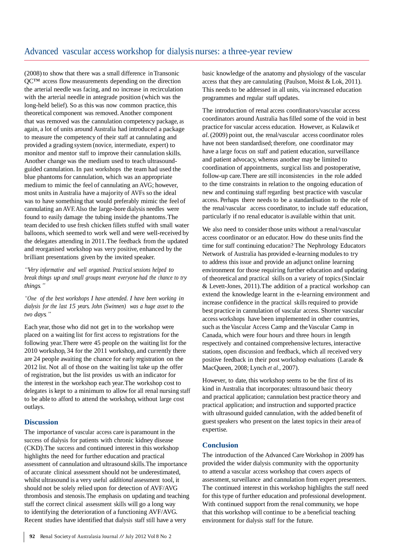(2008) to show that there was a small difference inTransonic QC™ access flow measurements depending on the direction the arterial needle was facing, and no increase in recirculation with the arterial needle in antegrade position (which was the long-held belief). So as this was now common practice, this theoretical component was removed.Another component that was removed was the cannulation competency package, as again, a lot of units around Australia had introduced a package to measure the competency of their staff at cannulating and provided a grading system (novice, intermediate, expert) to monitor and mentor staff to improve their cannulation skills. Another change was the medium used to teach ultrasoundguided cannulation. In past workshops the team had used the blue phantoms for cannulation, which was an appropriate medium to mimic the feel of cannulating an AVG; however, most units in Australia have a majority of AVFs so the ideal was to have something that would preferably mimic the feel of cannulating an AVF.Also the large-bore dialysis needles were found to easily damage the tubing inside the phantoms.The team decided to use fresh chicken fillets stuffed with small water balloons, which seemed to work well and were well-received by the delegates attending in 2011.The feedback from the updated and reorganised workshop was very positive, enhanced by the brilliant presentations given by the invited speaker.

*"Very informative and well organised. Practical sessions helped to break things up and small groups meant everyone had the chance to try things."*

*"One of the best workshops I have attended. I have been working in dialysis for the last 15 years. John (Swinnen) was a huge asset to the two days."*

Each year, those who did not get in to the workshop were placed on a waiting list for first access to registrations for the following year.There were 45 people on the waiting list for the 2010 workshop, 34 for the 2011 workshop, and currently there are 24 people awaiting the chance for early registration on the 2012 list. Not all of those on the waiting list take up the offer of registration, but the list provides us with an indicator for the interest in the workshop each year.The workshop cost to delegates is kept to a minimum to allow for all renal nursing staff to be able to afford to attend the workshop, without large cost outlays.

#### **Discussion**

The importance of vascular access care is paramount in the success of dialysis for patients with chronic kidney disease (CKD).The success and continued interest in this workshop highlights the need for further education and practical assessment of cannulation and ultrasound skills.The importance of accurate clinical assessment should not be underestimated, whilst ultrasound is a very useful *additional* assessment tool, it should not be solely relied upon for detection of AVF/AVG thrombosis and stenosis.The emphasis on updating and teaching staff the correct clinical assessment skills will go a long way to identifying the deterioration of a functioning AVF/AVG. Recent studies have identified that dialysis staff still have a very

basic knowledge of the anatomy and physiology of the vascular access that they are cannulating (Paulson, Moist & Lok, 2011). This needs to be addressed in all units, via increased education programmes and regular staff updates.

The introduction of renal access coordinators/vascular access coordinators around Australia hasfilled some of the void in best practice for vascular access education. However, as Kulawik *et al.*(2009) point out, the renal/vascular access coordinator roles have not been standardised; therefore, one coordinator may have a large focus on staff and patient education, surveillance and patient advocacy, whereas another may be limited to coordination of appointments, surgical lists and postoperative, follow-up care.There are still inconsistencies in the role added to the time constraints in relation to the ongoing education of new and continuing staff regarding best practice with vascular access. Perhaps there needs to be a standardisation to the role of the renal/vascular access coordinator, to include staff education, particularly if no renal educator is available within that unit.

We also need to consider those units without a renal/vascular access coordinator or an educator. How do these units find the time for staff continuing education? The Nephrology Educators Network of Australia has provided e-learning modules to try to address this issue and provide an adjunct online learning environment for those requiring further education and updating of theoretical and practical skills on a variety of topics(Sinclair & Levett-Jones, 2011).The addition of a practical workshop can extend the knowledge learnt in the e-learning environment and increase confidence in the practical skills required to provide best practice in cannulation of vascular access. Shorter vascular access workshops have been implemented in other countries, such as the Vascular Access Camp and the Vascular Camp in Canada, which were four hours and three hours in length respectively and contained comprehensive lectures, interactive stations, open discussion and feedback, which all received very positive feedback in their post workshop evaluations (Larade & MacQueen, 2008; Lynch *et al.*, 2007).

However, to date, this workshop seems to be the first of its kind in Australia that incorporates: ultrasound basic theory and practical application; cannulation best practice theory and practical application; and instruction and supported practice with ultrasound guided cannulation, with the added benefit of guest speakers who present on the latest topics in their area of expertise.

#### **Conclusion**

The introduction of the Advanced Care Workshop in 2009 has provided the wider dialysis community with the opportunity to attend a vascular access workshop that covers aspects of assessment, surveillance and cannulation from expert presenters. The continued interest in this workshop highlights the staff need for this type of further education and professional development. With continued support from the renal community, we hope that this workshop will continue to be a beneficial teaching environment for dialysis staff for the future.